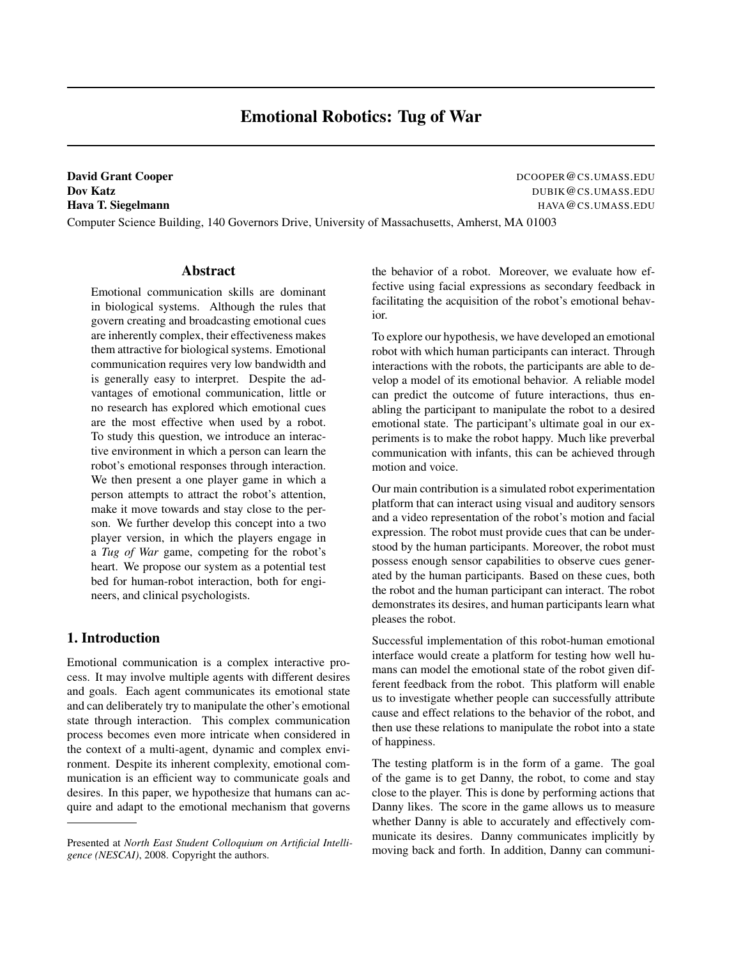# Emotional Robotics: Tug of War

**David Grant Cooper** DCOOPER **@CS.UMASS.EDU** 

**Dov Katz** DUBIK **@CS.UMASS.EDU** Hava T. Siegelmann Havament Hava CS.UMASS.EDU

Computer Science Building, 140 Governors Drive, University of Massachusetts, Amherst, MA 01003

#### Abstract

Emotional communication skills are dominant in biological systems. Although the rules that govern creating and broadcasting emotional cues are inherently complex, their effectiveness makes them attractive for biological systems. Emotional communication requires very low bandwidth and is generally easy to interpret. Despite the advantages of emotional communication, little or no research has explored which emotional cues are the most effective when used by a robot. To study this question, we introduce an interactive environment in which a person can learn the robot's emotional responses through interaction. We then present a one player game in which a person attempts to attract the robot's attention, make it move towards and stay close to the person. We further develop this concept into a two player version, in which the players engage in a *Tug of War* game, competing for the robot's heart. We propose our system as a potential test bed for human-robot interaction, both for engineers, and clinical psychologists.

# 1. Introduction

Emotional communication is a complex interactive process. It may involve multiple agents with different desires and goals. Each agent communicates its emotional state and can deliberately try to manipulate the other's emotional state through interaction. This complex communication process becomes even more intricate when considered in the context of a multi-agent, dynamic and complex environment. Despite its inherent complexity, emotional communication is an efficient way to communicate goals and desires. In this paper, we hypothesize that humans can acquire and adapt to the emotional mechanism that governs

the behavior of a robot. Moreover, we evaluate how effective using facial expressions as secondary feedback in facilitating the acquisition of the robot's emotional behavior.

To explore our hypothesis, we have developed an emotional robot with which human participants can interact. Through interactions with the robots, the participants are able to develop a model of its emotional behavior. A reliable model can predict the outcome of future interactions, thus enabling the participant to manipulate the robot to a desired emotional state. The participant's ultimate goal in our experiments is to make the robot happy. Much like preverbal communication with infants, this can be achieved through motion and voice.

Our main contribution is a simulated robot experimentation platform that can interact using visual and auditory sensors and a video representation of the robot's motion and facial expression. The robot must provide cues that can be understood by the human participants. Moreover, the robot must possess enough sensor capabilities to observe cues generated by the human participants. Based on these cues, both the robot and the human participant can interact. The robot demonstrates its desires, and human participants learn what pleases the robot.

Successful implementation of this robot-human emotional interface would create a platform for testing how well humans can model the emotional state of the robot given different feedback from the robot. This platform will enable us to investigate whether people can successfully attribute cause and effect relations to the behavior of the robot, and then use these relations to manipulate the robot into a state of happiness.

The testing platform is in the form of a game. The goal of the game is to get Danny, the robot, to come and stay close to the player. This is done by performing actions that Danny likes. The score in the game allows us to measure whether Danny is able to accurately and effectively communicate its desires. Danny communicates implicitly by moving back and forth. In addition, Danny can communi-

Presented at *North East Student Colloquium on Artificial Intelligence (NESCAI)*, 2008. Copyright the authors.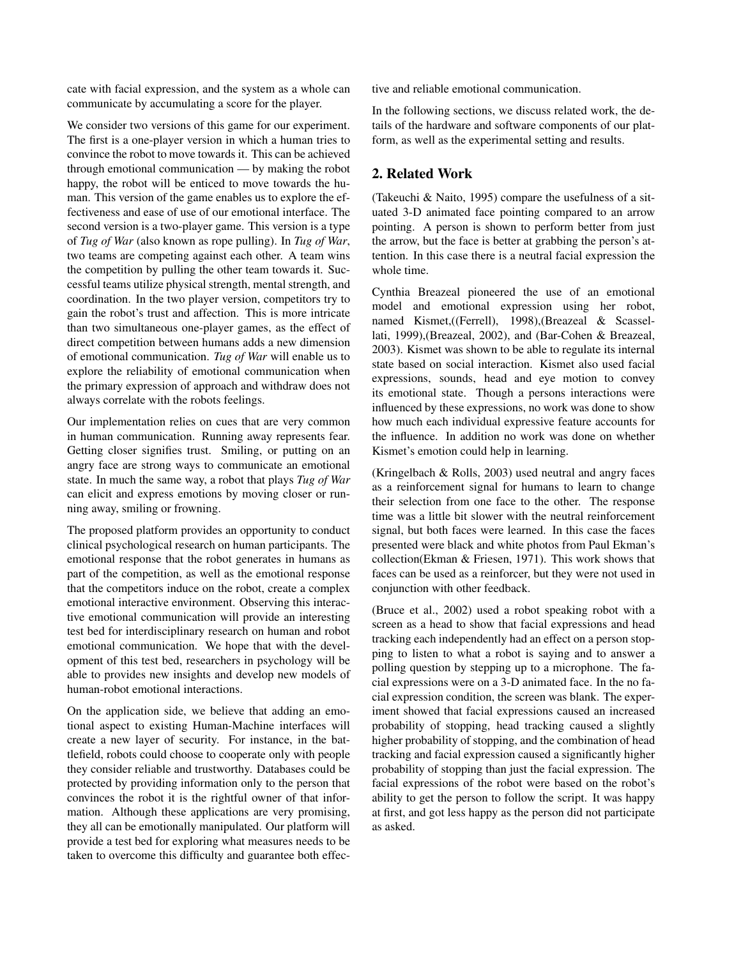cate with facial expression, and the system as a whole can communicate by accumulating a score for the player.

We consider two versions of this game for our experiment. The first is a one-player version in which a human tries to convince the robot to move towards it. This can be achieved through emotional communication — by making the robot happy, the robot will be enticed to move towards the human. This version of the game enables us to explore the effectiveness and ease of use of our emotional interface. The second version is a two-player game. This version is a type of *Tug of War* (also known as rope pulling). In *Tug of War*, two teams are competing against each other. A team wins the competition by pulling the other team towards it. Successful teams utilize physical strength, mental strength, and coordination. In the two player version, competitors try to gain the robot's trust and affection. This is more intricate than two simultaneous one-player games, as the effect of direct competition between humans adds a new dimension of emotional communication. *Tug of War* will enable us to explore the reliability of emotional communication when the primary expression of approach and withdraw does not always correlate with the robots feelings.

Our implementation relies on cues that are very common in human communication. Running away represents fear. Getting closer signifies trust. Smiling, or putting on an angry face are strong ways to communicate an emotional state. In much the same way, a robot that plays *Tug of War* can elicit and express emotions by moving closer or running away, smiling or frowning.

The proposed platform provides an opportunity to conduct clinical psychological research on human participants. The emotional response that the robot generates in humans as part of the competition, as well as the emotional response that the competitors induce on the robot, create a complex emotional interactive environment. Observing this interactive emotional communication will provide an interesting test bed for interdisciplinary research on human and robot emotional communication. We hope that with the development of this test bed, researchers in psychology will be able to provides new insights and develop new models of human-robot emotional interactions.

On the application side, we believe that adding an emotional aspect to existing Human-Machine interfaces will create a new layer of security. For instance, in the battlefield, robots could choose to cooperate only with people they consider reliable and trustworthy. Databases could be protected by providing information only to the person that convinces the robot it is the rightful owner of that information. Although these applications are very promising, they all can be emotionally manipulated. Our platform will provide a test bed for exploring what measures needs to be taken to overcome this difficulty and guarantee both effective and reliable emotional communication.

In the following sections, we discuss related work, the details of the hardware and software components of our platform, as well as the experimental setting and results.

# 2. Related Work

(Takeuchi & Naito, 1995) compare the usefulness of a situated 3-D animated face pointing compared to an arrow pointing. A person is shown to perform better from just the arrow, but the face is better at grabbing the person's attention. In this case there is a neutral facial expression the whole time.

Cynthia Breazeal pioneered the use of an emotional model and emotional expression using her robot, named Kismet,((Ferrell), 1998),(Breazeal & Scassellati, 1999),(Breazeal, 2002), and (Bar-Cohen & Breazeal, 2003). Kismet was shown to be able to regulate its internal state based on social interaction. Kismet also used facial expressions, sounds, head and eye motion to convey its emotional state. Though a persons interactions were influenced by these expressions, no work was done to show how much each individual expressive feature accounts for the influence. In addition no work was done on whether Kismet's emotion could help in learning.

(Kringelbach & Rolls, 2003) used neutral and angry faces as a reinforcement signal for humans to learn to change their selection from one face to the other. The response time was a little bit slower with the neutral reinforcement signal, but both faces were learned. In this case the faces presented were black and white photos from Paul Ekman's collection(Ekman & Friesen, 1971). This work shows that faces can be used as a reinforcer, but they were not used in conjunction with other feedback.

(Bruce et al., 2002) used a robot speaking robot with a screen as a head to show that facial expressions and head tracking each independently had an effect on a person stopping to listen to what a robot is saying and to answer a polling question by stepping up to a microphone. The facial expressions were on a 3-D animated face. In the no facial expression condition, the screen was blank. The experiment showed that facial expressions caused an increased probability of stopping, head tracking caused a slightly higher probability of stopping, and the combination of head tracking and facial expression caused a significantly higher probability of stopping than just the facial expression. The facial expressions of the robot were based on the robot's ability to get the person to follow the script. It was happy at first, and got less happy as the person did not participate as asked.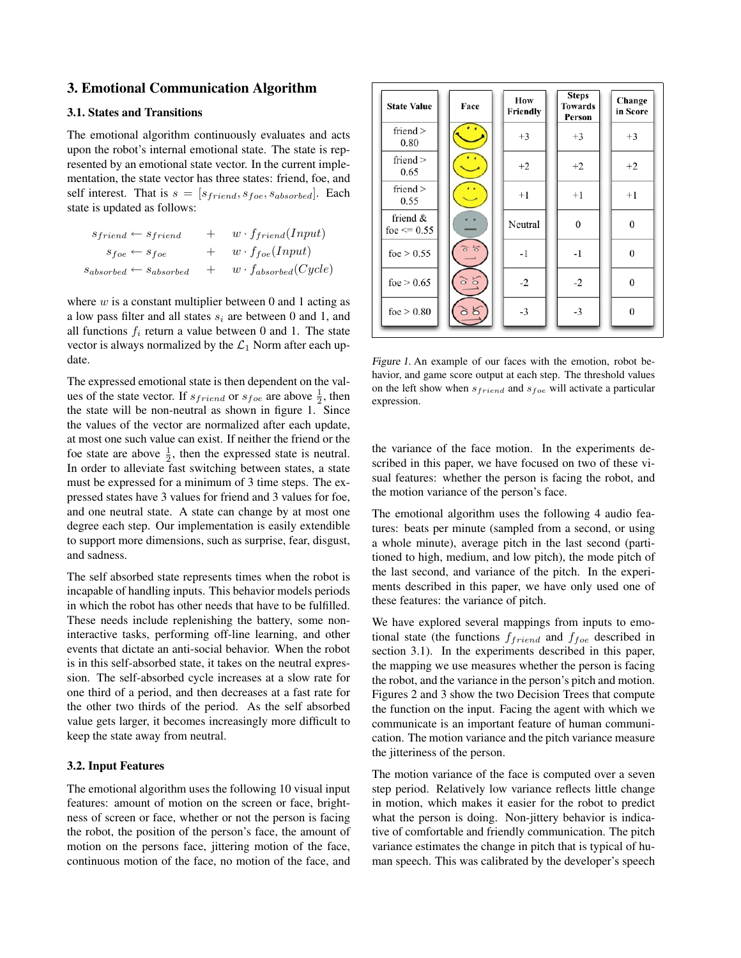# 3. Emotional Communication Algorithm

# 3.1. States and Transitions

The emotional algorithm continuously evaluates and acts upon the robot's internal emotional state. The state is represented by an emotional state vector. In the current implementation, the state vector has three states: friend, foe, and self interest. That is  $s = [s_{friend}, s_{foe}, s_{absorbed}]$ . Each state is updated as follows:

| $s_{friend} \leftarrow s_{friend}$     |     | $w \cdot f_{friend}(Input)$   |
|----------------------------------------|-----|-------------------------------|
| $s_{foe} \leftarrow s_{foe}$           |     | $+ w \cdot f_{foe}(Input)$    |
| $s_{absorbed} \leftarrow s_{absorbed}$ | $+$ | $w \cdot f_{absorbed}(Cycle)$ |

where  $w$  is a constant multiplier between 0 and 1 acting as a low pass filter and all states  $s_i$  are between 0 and 1, and all functions  $f_i$  return a value between 0 and 1. The state vector is always normalized by the  $\mathcal{L}_1$  Norm after each update.

The expressed emotional state is then dependent on the values of the state vector. If  $s_{friend}$  or  $s_{foe}$  are above  $\frac{1}{2}$ , then the state will be non-neutral as shown in figure 1. Since the values of the vector are normalized after each update, at most one such value can exist. If neither the friend or the foe state are above  $\frac{1}{2}$ , then the expressed state is neutral. In order to alleviate fast switching between states, a state must be expressed for a minimum of 3 time steps. The expressed states have 3 values for friend and 3 values for foe, and one neutral state. A state can change by at most one degree each step. Our implementation is easily extendible to support more dimensions, such as surprise, fear, disgust, and sadness.

The self absorbed state represents times when the robot is incapable of handling inputs. This behavior models periods in which the robot has other needs that have to be fulfilled. These needs include replenishing the battery, some noninteractive tasks, performing off-line learning, and other events that dictate an anti-social behavior. When the robot is in this self-absorbed state, it takes on the neutral expression. The self-absorbed cycle increases at a slow rate for one third of a period, and then decreases at a fast rate for the other two thirds of the period. As the self absorbed value gets larger, it becomes increasingly more difficult to keep the state away from neutral.

## 3.2. Input Features

The emotional algorithm uses the following 10 visual input features: amount of motion on the screen or face, brightness of screen or face, whether or not the person is facing the robot, the position of the person's face, the amount of motion on the persons face, jittering motion of the face, continuous motion of the face, no motion of the face, and

| <b>State Value</b>             | Face                 | How<br>Friendly | <b>Steps</b><br><b>Towards</b><br>Person | Change<br>in Score |
|--------------------------------|----------------------|-----------------|------------------------------------------|--------------------|
| friend $>$<br>0.80             | . .                  | $+3$            | $+3$                                     | $+3$               |
| friend $>$<br>0.65             |                      | $+2$            | $+2$                                     | $+2$               |
| friend $>$<br>0.55             |                      | $+1$            | $+1$                                     | $+1$               |
| friend $\&$<br>foe $\leq$ 0.55 |                      | Neutral         | $\mathbf{0}$                             | $\mathbf{0}$       |
| foe $> 0.55$                   | $5\overline{6}$<br>ਨ | $-1$            | $-1$                                     | $\bf{0}$           |
| foe $> 0.65$                   | 5 S                  | $-2$            | $-2$                                     | $\overline{0}$     |
| foe $> 0.80$                   |                      | $-3$            | $-3$                                     | $\theta$           |

Figure 1. An example of our faces with the emotion, robot behavior, and game score output at each step. The threshold values on the left show when  $s_{friend}$  and  $s_{foe}$  will activate a particular expression.

the variance of the face motion. In the experiments described in this paper, we have focused on two of these visual features: whether the person is facing the robot, and the motion variance of the person's face.

The emotional algorithm uses the following 4 audio features: beats per minute (sampled from a second, or using a whole minute), average pitch in the last second (partitioned to high, medium, and low pitch), the mode pitch of the last second, and variance of the pitch. In the experiments described in this paper, we have only used one of these features: the variance of pitch.

We have explored several mappings from inputs to emotional state (the functions  $f_{friend}$  and  $f_{foe}$  described in section 3.1). In the experiments described in this paper, the mapping we use measures whether the person is facing the robot, and the variance in the person's pitch and motion. Figures 2 and 3 show the two Decision Trees that compute the function on the input. Facing the agent with which we communicate is an important feature of human communication. The motion variance and the pitch variance measure the jitteriness of the person.

The motion variance of the face is computed over a seven step period. Relatively low variance reflects little change in motion, which makes it easier for the robot to predict what the person is doing. Non-jittery behavior is indicative of comfortable and friendly communication. The pitch variance estimates the change in pitch that is typical of human speech. This was calibrated by the developer's speech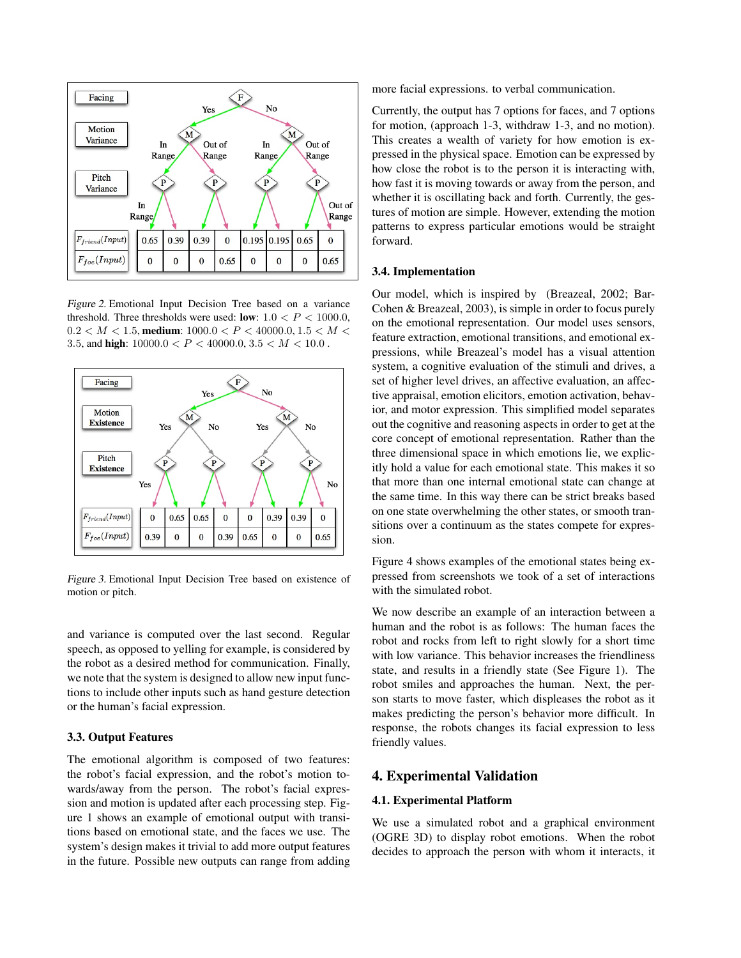

Figure 2. Emotional Input Decision Tree based on a variance threshold. Three thresholds were used: low:  $1.0 < P < 1000.0$ ,  $0.2 < M < 1.5$ , medium:  $1000.0 < P < 40000.0, 1.5 < M <$ 3.5, and high:  $10000.0 < P < 40000.0, 3.5 < M < 10.0$  .



Figure 3. Emotional Input Decision Tree based on existence of motion or pitch.

and variance is computed over the last second. Regular speech, as opposed to yelling for example, is considered by the robot as a desired method for communication. Finally, we note that the system is designed to allow new input functions to include other inputs such as hand gesture detection or the human's facial expression.

#### 3.3. Output Features

The emotional algorithm is composed of two features: the robot's facial expression, and the robot's motion towards/away from the person. The robot's facial expression and motion is updated after each processing step. Figure 1 shows an example of emotional output with transitions based on emotional state, and the faces we use. The system's design makes it trivial to add more output features in the future. Possible new outputs can range from adding

more facial expressions. to verbal communication.

Currently, the output has 7 options for faces, and 7 options for motion, (approach 1-3, withdraw 1-3, and no motion). This creates a wealth of variety for how emotion is expressed in the physical space. Emotion can be expressed by how close the robot is to the person it is interacting with, how fast it is moving towards or away from the person, and whether it is oscillating back and forth. Currently, the gestures of motion are simple. However, extending the motion patterns to express particular emotions would be straight forward.

## 3.4. Implementation

Our model, which is inspired by (Breazeal, 2002; Bar-Cohen & Breazeal, 2003), is simple in order to focus purely on the emotional representation. Our model uses sensors, feature extraction, emotional transitions, and emotional expressions, while Breazeal's model has a visual attention system, a cognitive evaluation of the stimuli and drives, a set of higher level drives, an affective evaluation, an affective appraisal, emotion elicitors, emotion activation, behavior, and motor expression. This simplified model separates out the cognitive and reasoning aspects in order to get at the core concept of emotional representation. Rather than the three dimensional space in which emotions lie, we explicitly hold a value for each emotional state. This makes it so that more than one internal emotional state can change at the same time. In this way there can be strict breaks based on one state overwhelming the other states, or smooth transitions over a continuum as the states compete for expression.

Figure 4 shows examples of the emotional states being expressed from screenshots we took of a set of interactions with the simulated robot.

We now describe an example of an interaction between a human and the robot is as follows: The human faces the robot and rocks from left to right slowly for a short time with low variance. This behavior increases the friendliness state, and results in a friendly state (See Figure 1). The robot smiles and approaches the human. Next, the person starts to move faster, which displeases the robot as it makes predicting the person's behavior more difficult. In response, the robots changes its facial expression to less friendly values.

# 4. Experimental Validation

#### 4.1. Experimental Platform

We use a simulated robot and a graphical environment (OGRE 3D) to display robot emotions. When the robot decides to approach the person with whom it interacts, it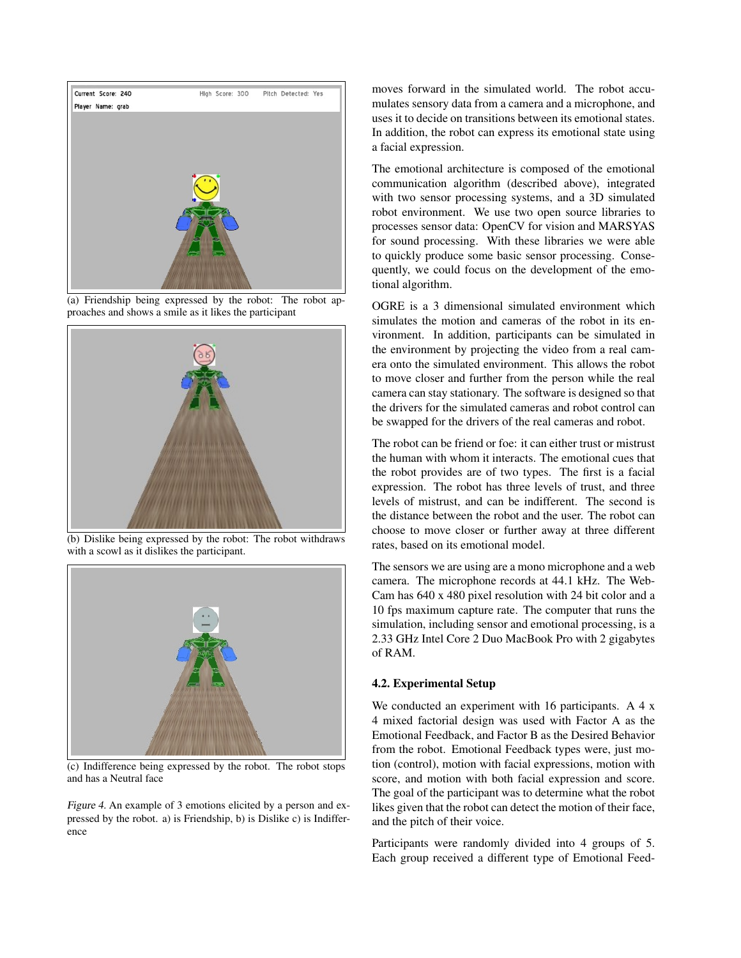

(a) Friendship being expressed by the robot: The robot approaches and shows a smile as it likes the participant



(b) Dislike being expressed by the robot: The robot withdraws with a scowl as it dislikes the participant.



(c) Indifference being expressed by the robot. The robot stops and has a Neutral face

Figure 4. An example of 3 emotions elicited by a person and expressed by the robot. a) is Friendship, b) is Dislike c) is Indifference

moves forward in the simulated world. The robot accumulates sensory data from a camera and a microphone, and uses it to decide on transitions between its emotional states. In addition, the robot can express its emotional state using a facial expression.

The emotional architecture is composed of the emotional communication algorithm (described above), integrated with two sensor processing systems, and a 3D simulated robot environment. We use two open source libraries to processes sensor data: OpenCV for vision and MARSYAS for sound processing. With these libraries we were able to quickly produce some basic sensor processing. Consequently, we could focus on the development of the emotional algorithm.

OGRE is a 3 dimensional simulated environment which simulates the motion and cameras of the robot in its environment. In addition, participants can be simulated in the environment by projecting the video from a real camera onto the simulated environment. This allows the robot to move closer and further from the person while the real camera can stay stationary. The software is designed so that the drivers for the simulated cameras and robot control can be swapped for the drivers of the real cameras and robot.

The robot can be friend or foe: it can either trust or mistrust the human with whom it interacts. The emotional cues that the robot provides are of two types. The first is a facial expression. The robot has three levels of trust, and three levels of mistrust, and can be indifferent. The second is the distance between the robot and the user. The robot can choose to move closer or further away at three different rates, based on its emotional model.

The sensors we are using are a mono microphone and a web camera. The microphone records at 44.1 kHz. The Web-Cam has 640 x 480 pixel resolution with 24 bit color and a 10 fps maximum capture rate. The computer that runs the simulation, including sensor and emotional processing, is a 2.33 GHz Intel Core 2 Duo MacBook Pro with 2 gigabytes of RAM.

# 4.2. Experimental Setup

We conducted an experiment with 16 participants. A 4 x 4 mixed factorial design was used with Factor A as the Emotional Feedback, and Factor B as the Desired Behavior from the robot. Emotional Feedback types were, just motion (control), motion with facial expressions, motion with score, and motion with both facial expression and score. The goal of the participant was to determine what the robot likes given that the robot can detect the motion of their face, and the pitch of their voice.

Participants were randomly divided into 4 groups of 5. Each group received a different type of Emotional Feed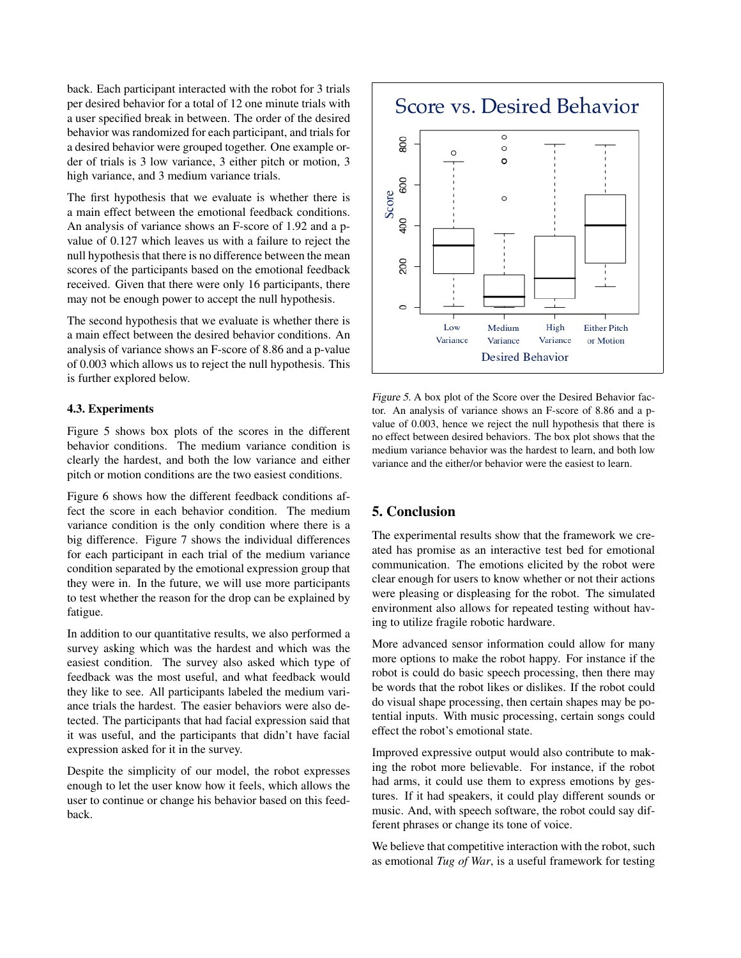back. Each participant interacted with the robot for 3 trials per desired behavior for a total of 12 one minute trials with a user specified break in between. The order of the desired behavior was randomized for each participant, and trials for a desired behavior were grouped together. One example order of trials is 3 low variance, 3 either pitch or motion, 3 high variance, and 3 medium variance trials.

The first hypothesis that we evaluate is whether there is a main effect between the emotional feedback conditions. An analysis of variance shows an F-score of 1.92 and a pvalue of 0.127 which leaves us with a failure to reject the null hypothesis that there is no difference between the mean scores of the participants based on the emotional feedback received. Given that there were only 16 participants, there may not be enough power to accept the null hypothesis.

The second hypothesis that we evaluate is whether there is a main effect between the desired behavior conditions. An analysis of variance shows an F-score of 8.86 and a p-value of 0.003 which allows us to reject the null hypothesis. This is further explored below.

#### 4.3. Experiments

Figure 5 shows box plots of the scores in the different behavior conditions. The medium variance condition is clearly the hardest, and both the low variance and either pitch or motion conditions are the two easiest conditions.

Figure 6 shows how the different feedback conditions affect the score in each behavior condition. The medium variance condition is the only condition where there is a big difference. Figure 7 shows the individual differences for each participant in each trial of the medium variance condition separated by the emotional expression group that they were in. In the future, we will use more participants to test whether the reason for the drop can be explained by fatigue.

In addition to our quantitative results, we also performed a survey asking which was the hardest and which was the easiest condition. The survey also asked which type of feedback was the most useful, and what feedback would they like to see. All participants labeled the medium variance trials the hardest. The easier behaviors were also detected. The participants that had facial expression said that it was useful, and the participants that didn't have facial expression asked for it in the survey.

Despite the simplicity of our model, the robot expresses enough to let the user know how it feels, which allows the user to continue or change his behavior based on this feedback.



Figure 5. A box plot of the Score over the Desired Behavior factor. An analysis of variance shows an F-score of 8.86 and a pvalue of 0.003, hence we reject the null hypothesis that there is no effect between desired behaviors. The box plot shows that the medium variance behavior was the hardest to learn, and both low variance and the either/or behavior were the easiest to learn.

# 5. Conclusion

The experimental results show that the framework we created has promise as an interactive test bed for emotional communication. The emotions elicited by the robot were clear enough for users to know whether or not their actions were pleasing or displeasing for the robot. The simulated environment also allows for repeated testing without having to utilize fragile robotic hardware.

More advanced sensor information could allow for many more options to make the robot happy. For instance if the robot is could do basic speech processing, then there may be words that the robot likes or dislikes. If the robot could do visual shape processing, then certain shapes may be potential inputs. With music processing, certain songs could effect the robot's emotional state.

Improved expressive output would also contribute to making the robot more believable. For instance, if the robot had arms, it could use them to express emotions by gestures. If it had speakers, it could play different sounds or music. And, with speech software, the robot could say different phrases or change its tone of voice.

We believe that competitive interaction with the robot, such as emotional *Tug of War*, is a useful framework for testing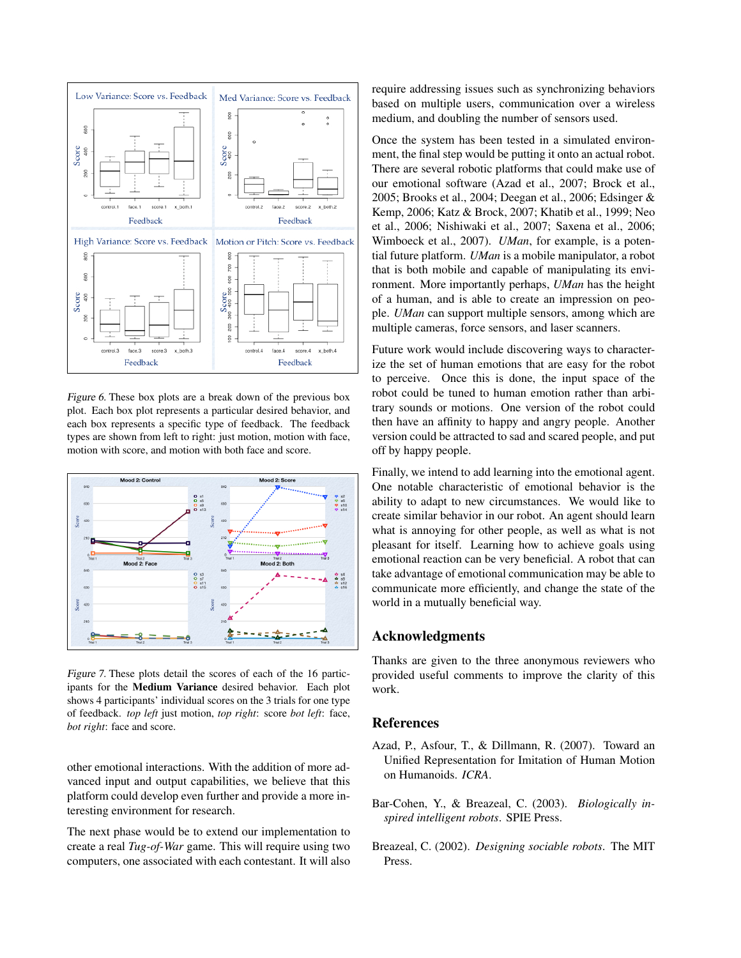

Figure 6. These box plots are a break down of the previous box plot. Each box plot represents a particular desired behavior, and each box represents a specific type of feedback. The feedback types are shown from left to right: just motion, motion with face, motion with score, and motion with both face and score.



Figure 7. These plots detail the scores of each of the 16 participants for the Medium Variance desired behavior. Each plot shows 4 participants' individual scores on the 3 trials for one type of feedback. *top left* just motion, *top right*: score *bot left*: face, *bot right*: face and score.

other emotional interactions. With the addition of more advanced input and output capabilities, we believe that this platform could develop even further and provide a more interesting environment for research.

The next phase would be to extend our implementation to create a real *Tug-of-War* game. This will require using two computers, one associated with each contestant. It will also

require addressing issues such as synchronizing behaviors based on multiple users, communication over a wireless medium, and doubling the number of sensors used.

Once the system has been tested in a simulated environment, the final step would be putting it onto an actual robot. There are several robotic platforms that could make use of our emotional software (Azad et al., 2007; Brock et al., 2005; Brooks et al., 2004; Deegan et al., 2006; Edsinger & Kemp, 2006; Katz & Brock, 2007; Khatib et al., 1999; Neo et al., 2006; Nishiwaki et al., 2007; Saxena et al., 2006; Wimboeck et al., 2007). *UMan*, for example, is a potential future platform. *UMan* is a mobile manipulator, a robot that is both mobile and capable of manipulating its environment. More importantly perhaps, *UMan* has the height of a human, and is able to create an impression on people. *UMan* can support multiple sensors, among which are multiple cameras, force sensors, and laser scanners.

Future work would include discovering ways to characterize the set of human emotions that are easy for the robot to perceive. Once this is done, the input space of the robot could be tuned to human emotion rather than arbitrary sounds or motions. One version of the robot could then have an affinity to happy and angry people. Another version could be attracted to sad and scared people, and put off by happy people.

Finally, we intend to add learning into the emotional agent. One notable characteristic of emotional behavior is the ability to adapt to new circumstances. We would like to create similar behavior in our robot. An agent should learn what is annoying for other people, as well as what is not pleasant for itself. Learning how to achieve goals using emotional reaction can be very beneficial. A robot that can take advantage of emotional communication may be able to communicate more efficiently, and change the state of the world in a mutually beneficial way.

# Acknowledgments

Thanks are given to the three anonymous reviewers who provided useful comments to improve the clarity of this work.

# References

- Azad, P., Asfour, T., & Dillmann, R. (2007). Toward an Unified Representation for Imitation of Human Motion on Humanoids. *ICRA*.
- Bar-Cohen, Y., & Breazeal, C. (2003). *Biologically inspired intelligent robots*. SPIE Press.
- Breazeal, C. (2002). *Designing sociable robots*. The MIT Press.